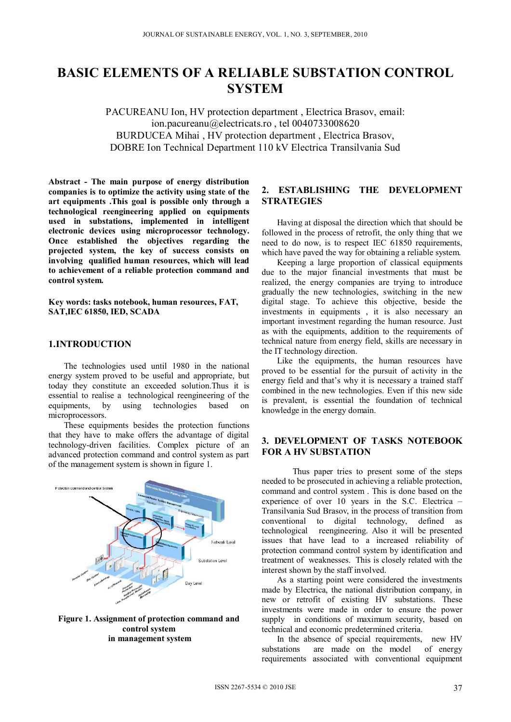# **BASIC ELEMENTS OF A RELIABLE SUBSTATION CONTROL SYSTEM**

PACUREANU Ion, HV protection department , Electrica Brasov, email: ion.pacureanu@electricats.ro , tel 0040733008620 BURDUCEA Mihai , HV protection department , Electrica Brasov, DOBRE Ion Technical Department 110 kV Electrica Transilvania Sud

**Abstract - The main purpose of energy distribution companies is to optimize the activity using state of the art equipments .This goal is possible only through a technological reengineering applied on equipments**  used in substations, implemented in intelligent **electronic devices using microprocessor technology. Once established the objectives regarding the projected system, the key of success consists on involving qualified human resources, which will lead to achievement of a reliable protection command and control system.** 

**Key words: tasks notebook, human resources, FAT, SAT,IEC 61850, IED, SCADA** 

### **1.INTRODUCTION**

The technologies used until 1980 in the national energy system proved to be useful and appropriate, but today they constitute an exceeded solution.Thus it is essential to realise a technological reengineering of the equipments, by using technologies based on microprocessors.

These equipments besides the protection functions that they have to make offers the advantage of digital technology-driven facilities. Complex picture of an advanced protection command and control system as part of the management system is shown in figure 1.



**Figure 1. Assignment of protection command and control system in management system** 

# **2. ESTABLISHING THE DEVELOPMENT STRATEGIES**

Having at disposal the direction which that should be followed in the process of retrofit, the only thing that we need to do now, is to respect IEC 61850 requirements, which have paved the way for obtaining a reliable system.

Keeping a large proportion of classical equipments due to the major financial investments that must be realized, the energy companies are trying to introduce gradually the new technologies, switching in the new digital stage. To achieve this objective, beside the investments in equipments , it is also necessary an important investment regarding the human resource. Just as with the equipments, addition to the requirements of technical nature from energy field, skills are necessary in the IT technology direction.

Like the equipments, the human resources have proved to be essential for the pursuit of activity in the energy field and that's why it is necessary a trained staff combined in the new technologies. Even if this new side is prevalent, is essential the foundation of technical knowledge in the energy domain.

#### **3. DEVELOPMENT OF TASKS NOTEBOOK FOR A HV SUBSTATION**

 Thus paper tries to present some of the steps needed to be prosecuted in achieving a reliable protection, command and control system . This is done based on the experience of over 10 years in the S.C. Electrica – Transilvania Sud Brasov, in the process of transition from conventional to digital technology, defined as technological reengineering. Also it will be presented issues that have lead to a increased reliability of protection command control system by identification and treatment of weaknesses. This is closely related with the interest shown by the staff involved.

As a starting point were considered the investments made by Electrica, the national distribution company, in new or retrofit of existing HV substations. These investments were made in order to ensure the power supply in conditions of maximum security, based on technical and economic predetermined criteria.

In the absence of special requirements, new HV substations are made on the model of energy requirements associated with conventional equipment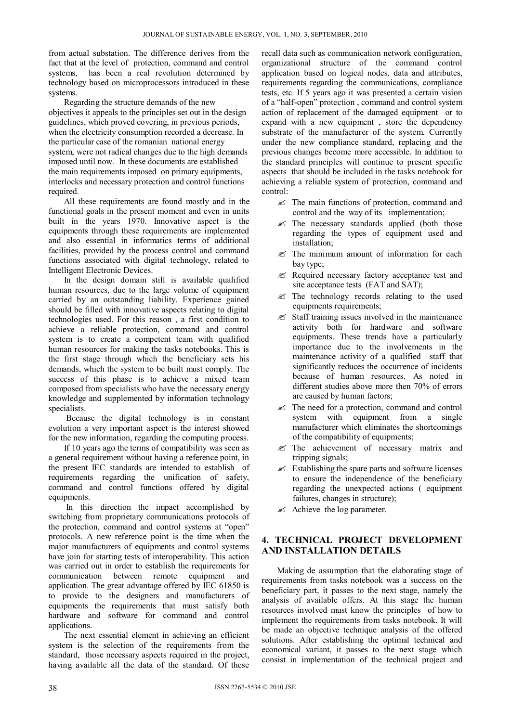from actual substation. The difference derives from the fact that at the level of protection, command and control systems, has been a real revolution determined by technology based on microprocessors introduced in these systems.

Regarding the structure demands of the new objectives it appeals to the principles set out in the design guidelines, which proved covering, in previous periods, when the electricity consumption recorded a decrease. In the particular case of the romanian national energy system, were not radical changes due to the high demands imposed until now. In these documents are established the main requirements imposed on primary equipments, interlocks and necessary protection and control functions required.

All these requirements are found mostly and in the functional goals in the present moment and even in units built in the years 1970. Innovative aspect is the equipments through these requirements are implemented and also essential in informatics terms of additional facilities, provided by the process control and command functions associated with digital technology, related to Intelligent Electronic Devices.

In the design domain still is available qualified human resources, due to the large volume of equipment carried by an outstanding liability. Experience gained should be filled with innovative aspects relating to digital technologies used. For this reason , a first condition to achieve a reliable protection, command and control system is to create a competent team with qualified human resources for making the tasks notebooks. This is the first stage through which the beneficiary sets his demands, which the system to be built must comply. The success of this phase is to achieve a mixed team composed from specialists who have the necessary energy knowledge and supplemented by information technology specialists.

 Because the digital technology is in constant evolution a very important aspect is the interest showed for the new information, regarding the computing process.

If 10 years ago the terms of compatibility was seen as a general requirement without having a reference point, in the present IEC standards are intended to establish of requirements regarding the unification of safety, command and control functions offered by digital equipments.

 In this direction the impact accomplished by switching from proprietary communications protocols of the protection, command and control systems at "open" protocols. A new reference point is the time when the major manufacturers of equipments and control systems have join for starting tests of interoperability. This action was carried out in order to establish the requirements for communication between remote equipment and application. The great advantage offered by IEC 61850 is to provide to the designers and manufacturers of equipments the requirements that must satisfy both hardware and software for command and control applications.

The next essential element in achieving an efficient system is the selection of the requirements from the standard, those necessary aspects required in the project, having available all the data of the standard. Of these

recall data such as communication network configuration, organizational structure of the command control application based on logical nodes, data and attributes, requirements regarding the communications, compliance tests, etc. If 5 years ago it was presented a certain vision of a "half-open" protection , command and control system action of replacement of the damaged equipment or to expand with a new equipment , store the dependency substrate of the manufacturer of the system. Currently under the new compliance standard, replacing and the previous changes become more accessible. In addition to the standard principles will continue to present specific aspects that should be included in the tasks notebook for achieving a reliable system of protection, command and control:

- $\mathscr{\mathscr{E}}$  The main functions of protection, command and control and the way of its implementation;
- $\mathscr{\mathscr{E}}$  The necessary standards applied (both those regarding the types of equipment used and installation;
- $\mathscr{L}$  The minimum amount of information for each bay type;
- $\mathscr{L}$  Required necessary factory acceptance test and site acceptance tests (FAT and SAT);
- $\mathscr{L}$  The technology records relating to the used equipments requirements;
- $\mathscr{L}$  Staff training issues involved in the maintenance activity both for hardware and software equipments. These trends have a particularly importance due to the involvements in the maintenance activity of a qualified staff that significantly reduces the occurrence of incidents because of human resources. As noted in different studies above more then 70% of errors are caused by human factors;
- $\mathscr{L}$  The need for a protection, command and control system with equipment from a single manufacturer which eliminates the shortcomings of the compatibility of equipments;
- $\mathscr{L}$  The achievement of necessary matrix and tripping signals;
- $\mathscr{L}$  Establishing the spare parts and software licenses to ensure the independence of the beneficiary regarding the unexpected actions ( equipment failures, changes in structure);
- $\mathscr{\mathscr{E}}$  Achieve the log parameter.

# **4. TECHNICAL PROJECT DEVELOPMENT AND INSTALLATION DETAILS**

Making de assumption that the elaborating stage of requirements from tasks notebook was a success on the beneficiary part, it passes to the next stage, namely the analysis of available offers. At this stage the human resources involved must know the principles of how to implement the requirements from tasks notebook. It will be made an objective technique analysis of the offered solutions. After establishing the optimal technical and economical variant, it passes to the next stage which consist in implementation of the technical project and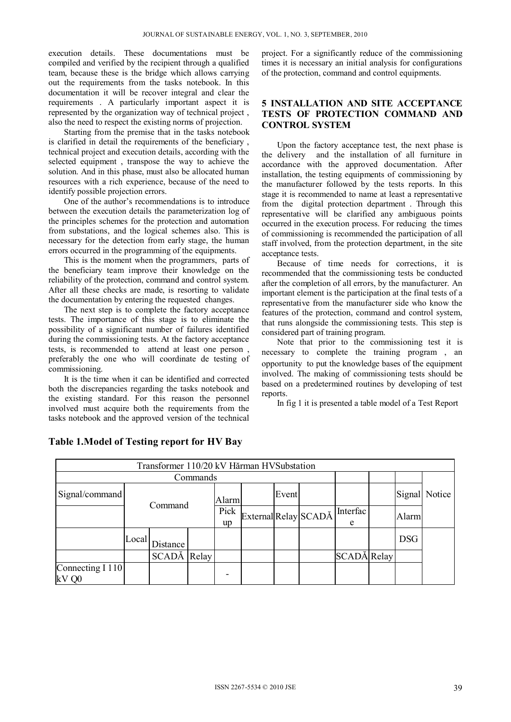execution details. These documentations must be compiled and verified by the recipient through a qualified team, because these is the bridge which allows carrying out the requirements from the tasks notebook. In this documentation it will be recover integral and clear the requirements . A particularly important aspect it is represented by the organization way of technical project , also the need to respect the existing norms of projection.

Starting from the premise that in the tasks notebook is clarified in detail the requirements of the beneficiary , technical project and execution details, according with the selected equipment , transpose the way to achieve the solution. And in this phase, must also be allocated human resources with a rich experience, because of the need to identify possible projection errors.

One of the author's recommendations is to introduce between the execution details the parameterization log of the principles schemes for the protection and automation from substations, and the logical schemes also. This is necessary for the detection from early stage, the human errors occurred in the programming of the equipments.

This is the moment when the programmers, parts of the beneficiary team improve their knowledge on the reliability of the protection, command and control system. After all these checks are made, is resorting to validate the documentation by entering the requested changes.

The next step is to complete the factory acceptance tests. The importance of this stage is to eliminate the possibility of a significant number of failures identified during the commissioning tests. At the factory acceptance tests, is recommended to attend at least one person , preferably the one who will coordinate de testing of commissioning.

It is the time when it can be identified and corrected both the discrepancies regarding the tasks notebook and the existing standard. For this reason the personnel involved must acquire both the requirements from the tasks notebook and the approved version of the technical project. For a significantly reduce of the commissioning times it is necessary an initial analysis for configurations of the protection, command and control equipments.

#### **5 INSTALLATION AND SITE ACCEPTANCE TESTS OF PROTECTION COMMAND AND CONTROL SYSTEM**

Upon the factory acceptance test, the next phase is the delivery and the installation of all furniture in accordance with the approved documentation. After installation, the testing equipments of commissioning by the manufacturer followed by the tests reports. In this stage it is recommended to name at least a representative from the digital protection department . Through this representative will be clarified any ambiguous points occurred in the execution process. For reducing the times of commissioning is recommended the participation of all staff involved, from the protection department, in the site acceptance tests.

Because of time needs for corrections, it is recommended that the commissioning tests be conducted after the completion of all errors, by the manufacturer. An important element is the participation at the final tests of a representative from the manufacturer side who know the features of the protection, command and control system, that runs alongside the commissioning tests. This step is considered part of training program.

Note that prior to the commissioning test it is necessary to complete the training program , an opportunity to put the knowledge bases of the equipment involved. The making of commissioning tests should be based on a predetermined routines by developing of test reports.

In fig 1 it is presented a table model of a Test Report

| Transformer 110/20 kV Hărman HVSubstation |         |                       |  |            |  |       |                      |               |  |            |               |
|-------------------------------------------|---------|-----------------------|--|------------|--|-------|----------------------|---------------|--|------------|---------------|
| Commands                                  |         |                       |  |            |  |       |                      |               |  |            |               |
| Signal/command                            | Command |                       |  | Alarm      |  | Event |                      |               |  |            | Signal Notice |
|                                           |         |                       |  | Pick<br>up |  |       | External Relay SCADĂ | Interfac<br>e |  | Alarm      |               |
|                                           | Local   | Distance <sup>1</sup> |  |            |  |       |                      |               |  | <b>DSG</b> |               |
|                                           |         | SCADĂ Relay           |  |            |  |       |                      | SCADĂ Relay   |  |            |               |
| Connecting I 110<br>$kV$ Q0               |         |                       |  |            |  |       |                      |               |  |            |               |

# **Table 1.Model of Testing report for HV Bay**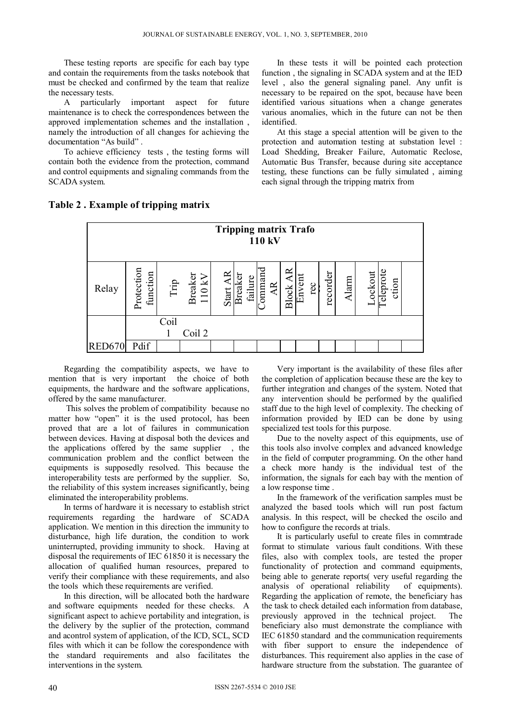These testing reports are specific for each bay type and contain the requirements from the tasks notebook that must be checked and confirmed by the team that realize the necessary tests.

A particularly important aspect for future maintenance is to check the correspondences between the approved implementation schemes and the installation , namely the introduction of all changes for achieving the documentation "As build" .

To achieve efficiency tests , the testing forms will contain both the evidence from the protection, command and control equipments and signaling commands from the SCADA system.

In these tests it will be pointed each protection function , the signaling in SCADA system and at the IED level , also the general signaling panel. Any unfit is necessary to be repaired on the spot, because have been identified various situations when a change generates various anomalies, which in the future can not be then identified.

At this stage a special attention will be given to the protection and automation testing at substation level : Load Shedding, Breaker Failure, Automatic Reclose, Automatic Bus Transfer, because during site acceptance testing, these functions can be fully simulated , aiming each signal through the tripping matrix from



#### **Table 2 . Example of tripping matrix**

Regarding the compatibility aspects, we have to mention that is very important the choice of both equipments, the hardware and the software applications, offered by the same manufacturer.

 This solves the problem of compatibility because no matter how "open" it is the used protocol, has been proved that are a lot of failures in communication between devices. Having at disposal both the devices and the applications offered by the same supplier , the communication problem and the conflict between the equipments is supposedly resolved. This because the interoperability tests are performed by the supplier. So, the reliability of this system increases significantly, being eliminated the interoperability problems.

In terms of hardware it is necessary to establish strict requirements regarding the hardware of SCADA application. We mention in this direction the immunity to disturbance, high life duration, the condition to work uninterrupted, providing immunity to shock. Having at disposal the requirements of IEC 61850 it is necessary the allocation of qualified human resources, prepared to verify their compliance with these requirements, and also the tools which these requirements are verified.

In this direction, will be allocated both the hardware and software equipments needed for these checks. A significant aspect to achieve portability and integration, is the delivery by the suplier of the protection, command and acontrol system of application, of the ICD, SCL, SCD files with which it can be follow the corespondence with the standard requirements and also facilitates the interventions in the system.

Very important is the availability of these files after the completion of application because these are the key to further integration and changes of the system. Noted that any intervention should be performed by the qualified staff due to the high level of complexity. The checking of information provided by IED can be done by using specialized test tools for this purpose.

Due to the novelty aspect of this equipments, use of this tools also involve complex and advanced knowledge in the field of computer programming. On the other hand a check more handy is the individual test of the information, the signals for each bay with the mention of a low response time .

In the framework of the verification samples must be analyzed the based tools which will run post factum analysis. In this respect, will be checked the oscilo and how to configure the records at trials.

It is particularly useful to create files in commtrade format to stimulate various fault conditions. With these files, also with complex tools, are tested the proper functionality of protection and command equipments, being able to generate reports( very useful regarding the analysis of operational reliability of equipments). Regarding the application of remote, the beneficiary has the task to check detailed each information from database, previously approved in the technical project. The beneficiary also must demonstrate the compliance with IEC 61850 standard and the communication requirements with fiber support to ensure the independence of disturbances. This requirement also applies in the case of hardware structure from the substation. The guarantee of